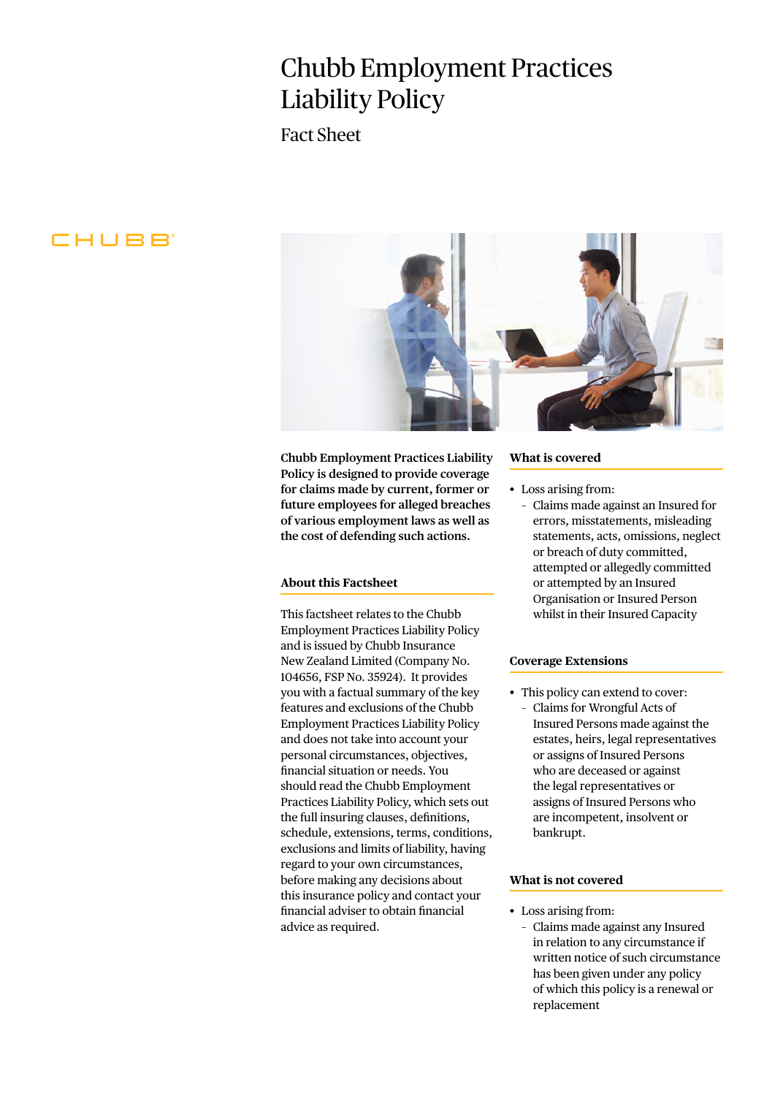# Chubb Employment Practices Liability Policy

Fact Sheet

# CHUBB



**Chubb Employment Practices Liability Policy is designed to provide coverage for claims made by current, former or future employees for alleged breaches of various employment laws as well as the cost of defending such actions.**

## **About this Factsheet**

This factsheet relates to the Chubb Employment Practices Liability Policy and is issued by Chubb Insurance New Zealand Limited (Company No. 104656, FSP No. 35924). It provides you with a factual summary of the key features and exclusions of the Chubb Employment Practices Liability Policy and does not take into account your personal circumstances, objectives, financial situation or needs. You should read the Chubb Employment Practices Liability Policy, which sets out the full insuring clauses, definitions, schedule, extensions, terms, conditions, exclusions and limits of liability, having regard to your own circumstances, before making any decisions about this insurance policy and contact your financial adviser to obtain financial advice as required.

#### **What is covered**

- Loss arising from:
	- Claims made against an Insured for errors, misstatements, misleading statements, acts, omissions, neglect or breach of duty committed, attempted or allegedly committed or attempted by an Insured Organisation or Insured Person whilst in their Insured Capacity

#### **Coverage Extensions**

• This policy can extend to cover: – Claims for Wrongful Acts of Insured Persons made against the estates, heirs, legal representatives or assigns of Insured Persons who are deceased or against the legal representatives or assigns of Insured Persons who are incompetent, insolvent or bankrupt.

#### **What is not covered**

- Loss arising from:
	- Claims made against any Insured in relation to any circumstance if written notice of such circumstance has been given under any policy of which this policy is a renewal or replacement